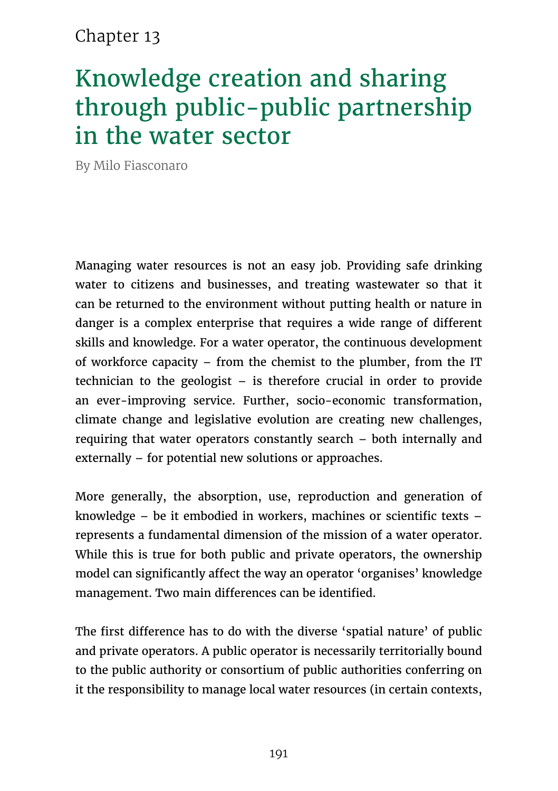# Chapter 13

# Knowledge creation and sharing through public-public partnership in the water sector

By Milo Fiasconaro

Managing water resources is not an easy job. Providing safe drinking water to citizens and businesses, and treating wastewater so that it can be returned to the environment without putting health or nature in danger is a complex enterprise that requires a wide range of different skills and knowledge. For a water operator, the continuous development of workforce capacity – from the chemist to the plumber, from the IT technician to the geologist – is therefore crucial in order to provide an ever-improving service. Further, socio-economic transformation, climate change and legislative evolution are creating new challenges, requiring that water operators constantly search – both internally and externally – for potential new solutions or approaches.

More generally, the absorption, use, reproduction and generation of knowledge – be it embodied in workers, machines or scientific texts – represents a fundamental dimension of the mission of a water operator. While this is true for both public and private operators, the ownership model can significantly affect the way an operator 'organises' knowledge management. Two main differences can be identified.

The first difference has to do with the diverse 'spatial nature' of public and private operators. A public operator is necessarily territorially bound to the public authority or consortium of public authorities conferring on it the responsibility to manage local water resources (in certain contexts,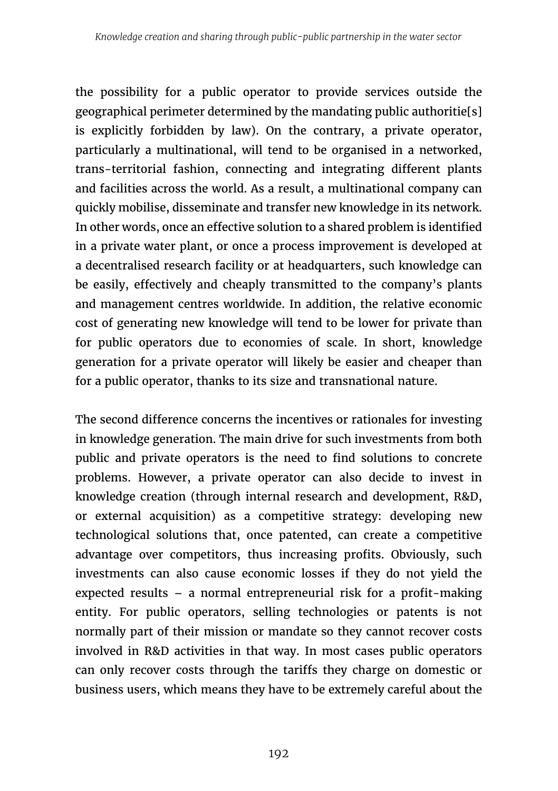the possibility for a public operator to provide services outside the geographical perimeter determined by the mandating public authoritie[s] is explicitly forbidden by law). On the contrary, a private operator, particularly a multinational, will tend to be organised in a networked, trans-territorial fashion, connecting and integrating different plants and facilities across the world. As a result, a multinational company can quickly mobilise, disseminate and transfer new knowledge in its network. In other words, once an effective solution to a shared problem is identified in a private water plant, or once a process improvement is developed at a decentralised research facility or at headquarters, such knowledge can be easily, effectively and cheaply transmitted to the company's plants and management centres worldwide. In addition, the relative economic cost of generating new knowledge will tend to be lower for private than for public operators due to economies of scale. In short, knowledge generation for a private operator will likely be easier and cheaper than for a public operator, thanks to its size and transnational nature.

The second difference concerns the incentives or rationales for investing in knowledge generation. The main drive for such investments from both public and private operators is the need to find solutions to concrete problems. However, a private operator can also decide to invest in knowledge creation (through internal research and development, R&D, or external acquisition) as a competitive strategy: developing new technological solutions that, once patented, can create a competitive advantage over competitors, thus increasing profits. Obviously, such investments can also cause economic losses if they do not yield the expected results – a normal entrepreneurial risk for a profit-making entity. For public operators, selling technologies or patents is not normally part of their mission or mandate so they cannot recover costs involved in R&D activities in that way. In most cases public operators can only recover costs through the tariffs they charge on domestic or business users, which means they have to be extremely careful about the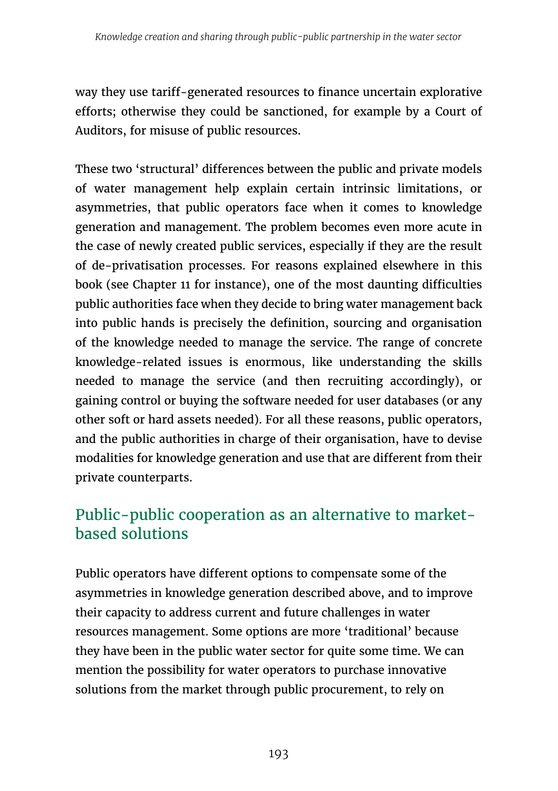way they use tariff-generated resources to finance uncertain explorative efforts; otherwise they could be sanctioned, for example by a Court of Auditors, for misuse of public resources.

These two 'structural' differences between the public and private models of water management help explain certain intrinsic limitations, or asymmetries, that public operators face when it comes to knowledge generation and management. The problem becomes even more acute in the case of newly created public services, especially if they are the result of de-privatisation processes. For reasons explained elsewhere in this book (see Chapter 11 for instance), one of the most daunting difficulties public authorities face when they decide to bring water management back into public hands is precisely the definition, sourcing and organisation of the knowledge needed to manage the service. The range of concrete knowledge-related issues is enormous, like understanding the skills needed to manage the service (and then recruiting accordingly), or gaining control or buying the software needed for user databases (or any other soft or hard assets needed). For all these reasons, public operators, and the public authorities in charge of their organisation, have to devise modalities for knowledge generation and use that are different from their private counterparts.

# Public-public cooperation as an alternative to marketbased solutions

Public operators have different options to compensate some of the asymmetries in knowledge generation described above, and to improve their capacity to address current and future challenges in water resources management. Some options are more 'traditional' because they have been in the public water sector for quite some time. We can mention the possibility for water operators to purchase innovative solutions from the market through public procurement, to rely on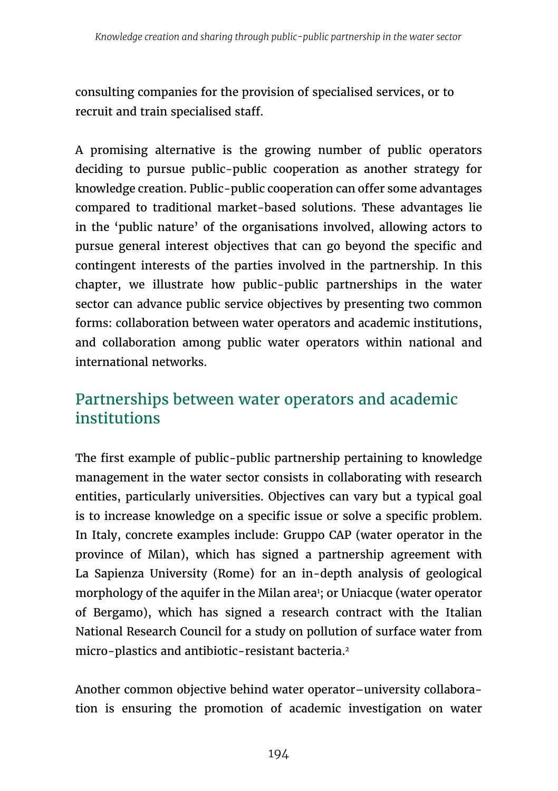consulting companies for the provision of specialised services, or to recruit and train specialised staff.

A promising alternative is the growing number of public operators deciding to pursue public-public cooperation as another strategy for knowledge creation. Public-public cooperation can offer some advantages compared to traditional market-based solutions. These advantages lie in the 'public nature' of the organisations involved, allowing actors to pursue general interest objectives that can go beyond the specific and contingent interests of the parties involved in the partnership. In this chapter, we illustrate how public-public partnerships in the water sector can advance public service objectives by presenting two common forms: collaboration between water operators and academic institutions, and collaboration among public water operators within national and international networks.

# Partnerships between water operators and academic institutions

The first example of public-public partnership pertaining to knowledge management in the water sector consists in collaborating with research entities, particularly universities. Objectives can vary but a typical goal is to increase knowledge on a specific issue or solve a specific problem. In Italy, concrete examples include: Gruppo CAP (water operator in the province of Milan), which has signed a partnership agreement with La Sapienza University (Rome) for an in-depth analysis of geological morphology of the aquifer in the Milan area<sup>1</sup>; or Uniacque (water operator of Bergamo), which has signed a research contract with the Italian National Research Council for a study on pollution of surface water from micro-plastics and antibiotic-resistant bacteria.<sup>2</sup>

Another common objective behind water operator–university collaboration is ensuring the promotion of academic investigation on water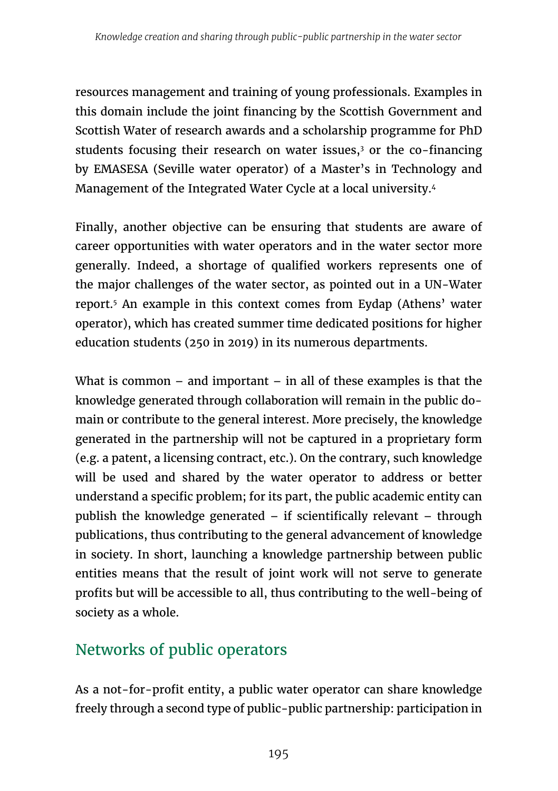resources management and training of young professionals. Examples in this domain include the joint financing by the Scottish Government and Scottish Water of research awards and a scholarship programme for PhD students focusing their research on water issues,<sup>3</sup> or the co-financing by EMASESA (Seville water operator) of a Master's in Technology and Management of the Integrated Water Cycle at a local university.4

Finally, another objective can be ensuring that students are aware of career opportunities with water operators and in the water sector more generally. Indeed, a shortage of qualified workers represents one of the major challenges of the water sector, as pointed out in a UN-Water report.5 An example in this context comes from Eydap (Athens' water operator), which has created summer time dedicated positions for higher education students (250 in 2019) in its numerous departments.

What is common  $-$  and important  $-$  in all of these examples is that the knowledge generated through collaboration will remain in the public domain or contribute to the general interest. More precisely, the knowledge generated in the partnership will not be captured in a proprietary form (e.g. a patent, a licensing contract, etc.). On the contrary, such knowledge will be used and shared by the water operator to address or better understand a specific problem; for its part, the public academic entity can publish the knowledge generated – if scientifically relevant – through publications, thus contributing to the general advancement of knowledge in society. In short, launching a knowledge partnership between public entities means that the result of joint work will not serve to generate profits but will be accessible to all, thus contributing to the well-being of society as a whole.

### Networks of public operators

As a not-for-profit entity, a public water operator can share knowledge freely through a second type of public-public partnership: participation in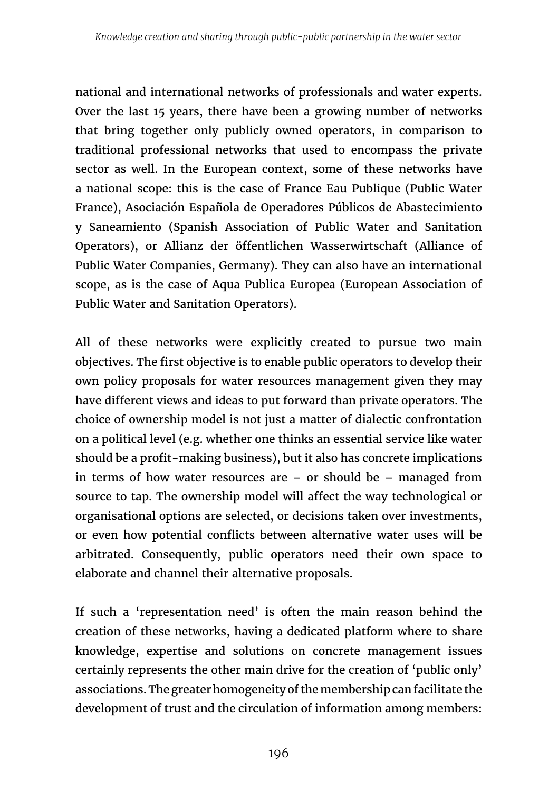national and international networks of professionals and water experts. Over the last 15 years, there have been a growing number of networks that bring together only publicly owned operators, in comparison to traditional professional networks that used to encompass the private sector as well. In the European context, some of these networks have a national scope: this is the case of France Eau Publique (Public Water France), Asociación Española de Operadores Públicos de Abastecimiento y Saneamiento (Spanish Association of Public Water and Sanitation Operators), or Allianz der öffentlichen Wasserwirtschaft (Alliance of Public Water Companies, Germany). They can also have an international scope, as is the case of Aqua Publica Europea (European Association of Public Water and Sanitation Operators).

All of these networks were explicitly created to pursue two main objectives. The first objective is to enable public operators to develop their own policy proposals for water resources management given they may have different views and ideas to put forward than private operators. The choice of ownership model is not just a matter of dialectic confrontation on a political level (e.g. whether one thinks an essential service like water should be a profit-making business), but it also has concrete implications in terms of how water resources are  $-$  or should be  $-$  managed from source to tap. The ownership model will affect the way technological or organisational options are selected, or decisions taken over investments, or even how potential conflicts between alternative water uses will be arbitrated. Consequently, public operators need their own space to elaborate and channel their alternative proposals.

If such a 'representation need' is often the main reason behind the creation of these networks, having a dedicated platform where to share knowledge, expertise and solutions on concrete management issues certainly represents the other main drive for the creation of 'public only' associations. The greater homogeneity of the membership can facilitate the development of trust and the circulation of information among members: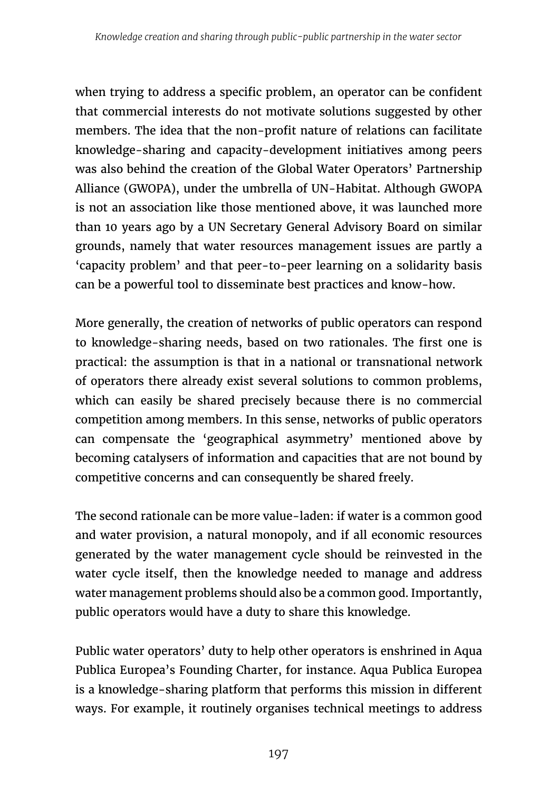when trying to address a specific problem, an operator can be confident that commercial interests do not motivate solutions suggested by other members. The idea that the non-profit nature of relations can facilitate knowledge-sharing and capacity-development initiatives among peers was also behind the creation of the Global Water Operators' Partnership Alliance (GWOPA), under the umbrella of UN-Habitat. Although GWOPA is not an association like those mentioned above, it was launched more than 10 years ago by a UN Secretary General Advisory Board on similar grounds, namely that water resources management issues are partly a 'capacity problem' and that peer-to-peer learning on a solidarity basis can be a powerful tool to disseminate best practices and know-how.

More generally, the creation of networks of public operators can respond to knowledge-sharing needs, based on two rationales. The first one is practical: the assumption is that in a national or transnational network of operators there already exist several solutions to common problems, which can easily be shared precisely because there is no commercial competition among members. In this sense, networks of public operators can compensate the 'geographical asymmetry' mentioned above by becoming catalysers of information and capacities that are not bound by competitive concerns and can consequently be shared freely.

The second rationale can be more value-laden: if water is a common good and water provision, a natural monopoly, and if all economic resources generated by the water management cycle should be reinvested in the water cycle itself, then the knowledge needed to manage and address water management problems should also be a common good. Importantly, public operators would have a duty to share this knowledge.

Public water operators' duty to help other operators is enshrined in Aqua Publica Europea's Founding Charter, for instance. Aqua Publica Europea is a knowledge-sharing platform that performs this mission in different ways. For example, it routinely organises technical meetings to address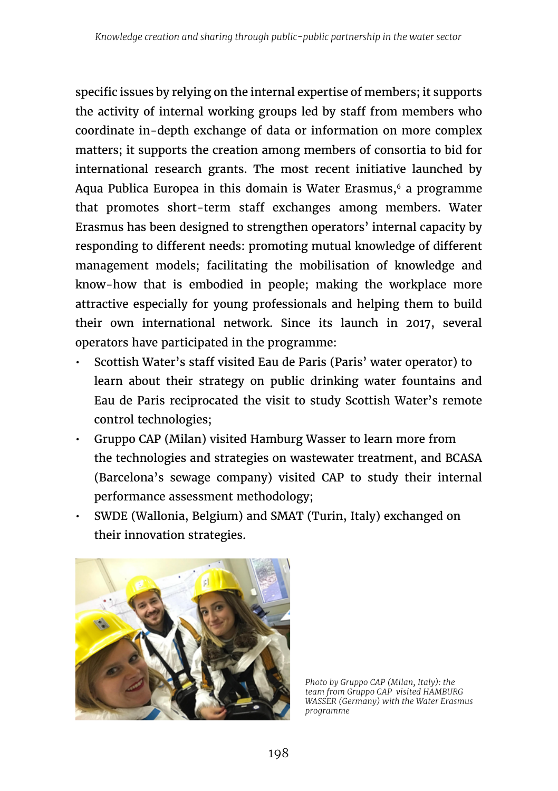specific issues by relying on the internal expertise of members; it supports the activity of internal working groups led by staff from members who coordinate in-depth exchange of data or information on more complex matters; it supports the creation among members of consortia to bid for international research grants. The most recent initiative launched by Aqua Publica Europea in this domain is Water Erasmus, $6$  a programme that promotes short-term staff exchanges among members. Water Erasmus has been designed to strengthen operators' internal capacity by responding to different needs: promoting mutual knowledge of different management models; facilitating the mobilisation of knowledge and know-how that is embodied in people; making the workplace more attractive especially for young professionals and helping them to build their own international network. Since its launch in 2017, several operators have participated in the programme:

- Scottish Water's staff visited Eau de Paris (Paris' water operator) to learn about their strategy on public drinking water fountains and Eau de Paris reciprocated the visit to study Scottish Water's remote control technologies;
- Gruppo CAP (Milan) visited Hamburg Wasser to learn more from the technologies and strategies on wastewater treatment, and BCASA (Barcelona's sewage company) visited CAP to study their internal performance assessment methodology;
- SWDE (Wallonia, Belgium) and SMAT (Turin, Italy) exchanged on their innovation strategies.



*Photo by Gruppo CAP (Milan, Italy): the team from Gruppo CAP visited HAMBURG WASSER (Germany) with the Water Erasmus programme*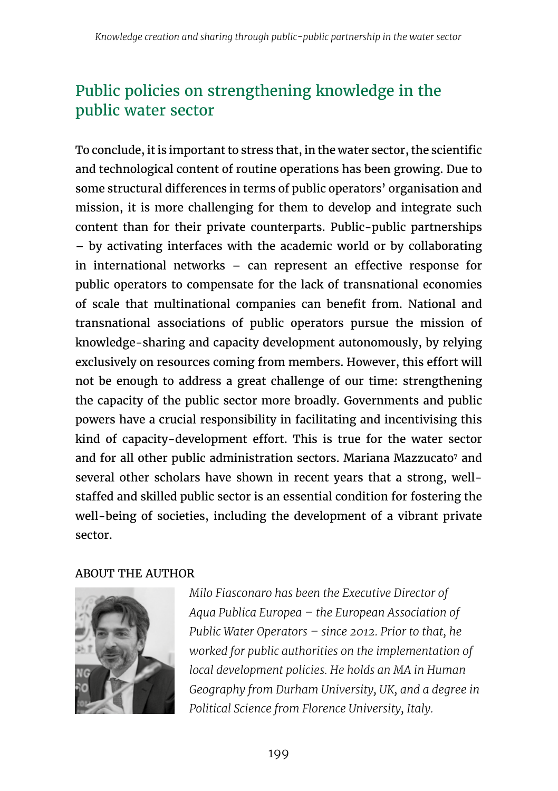# Public policies on strengthening knowledge in the public water sector

To conclude, it is important to stress that, in the water sector, the scientific and technological content of routine operations has been growing. Due to some structural differences in terms of public operators' organisation and mission, it is more challenging for them to develop and integrate such content than for their private counterparts. Public-public partnerships – by activating interfaces with the academic world or by collaborating in international networks – can represent an effective response for public operators to compensate for the lack of transnational economies of scale that multinational companies can benefit from. National and transnational associations of public operators pursue the mission of knowledge-sharing and capacity development autonomously, by relying exclusively on resources coming from members. However, this effort will not be enough to address a great challenge of our time: strengthening the capacity of the public sector more broadly. Governments and public powers have a crucial responsibility in facilitating and incentivising this kind of capacity-development effort. This is true for the water sector and for all other public administration sectors. Mariana Mazzucato<sup>7</sup> and several other scholars have shown in recent years that a strong, wellstaffed and skilled public sector is an essential condition for fostering the well-being of societies, including the development of a vibrant private sector.

#### ABOUT THE AUTHOR



*Milo Fiasconaro has been the Executive Director of Aqua Publica Europea – the European Association of Public Water Operators – since 2012. Prior to that, he worked for public authorities on the implementation of local development policies. He holds an MA in Human Geography from Durham University, UK, and a degree in Political Science from Florence University, Italy.*